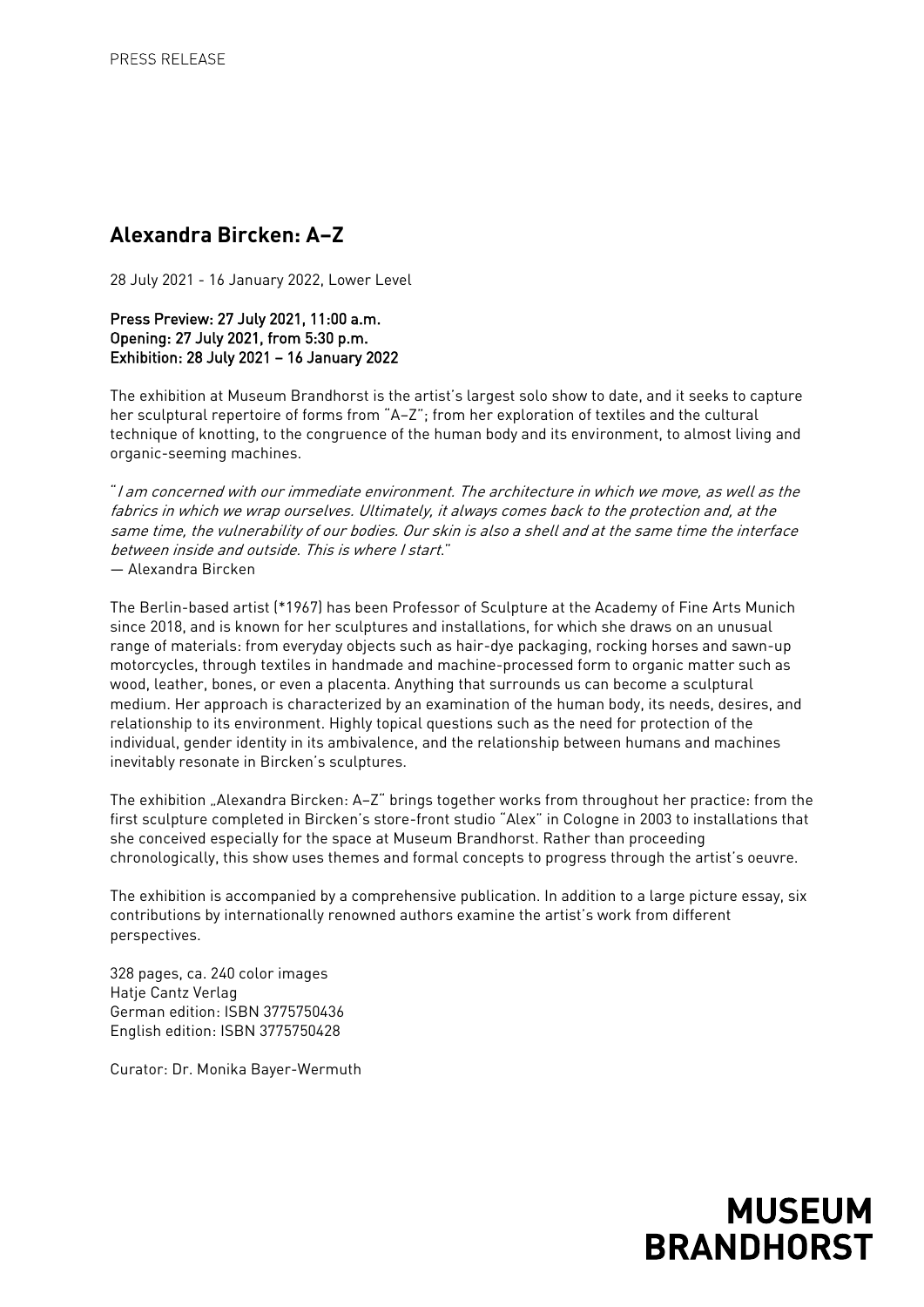## **Alexandra Bircken: A–Z**

28 July 2021 - 16 January 2022, Lower Level

Press Preview: 27 July 2021, 11:00 a.m. Opening: 27 July 2021, from 5:30 p.m. Exhibition: 28 July 2021 – 16 January 2022

The exhibition at Museum Brandhorst is the artist's largest solo show to date, and it seeks to capture her sculptural repertoire of forms from "A–Z"; from her exploration of textiles and the cultural technique of knotting, to the congruence of the human body and its environment, to almost living and organic-seeming machines.

"I am concerned with our immediate environment. The architecture in which we move, as well as the fabrics in which we wrap ourselves. Ultimately, it always comes back to the protection and, at the same time, the vulnerability of our bodies. Our skin is also a shell and at the same time the interface between inside and outside. This is where I start." — Alexandra Bircken

The Berlin-based artist (\*1967) has been Professor of Sculpture at the Academy of Fine Arts Munich since 2018, and is known for her sculptures and installations, for which she draws on an unusual range of materials: from everyday objects such as hair-dye packaging, rocking horses and sawn-up motorcycles, through textiles in handmade and machine-processed form to organic matter such as wood, leather, bones, or even a placenta. Anything that surrounds us can become a sculptural medium. Her approach is characterized by an examination of the human body, its needs, desires, and relationship to its environment. Highly topical questions such as the need for protection of the individual, gender identity in its ambivalence, and the relationship between humans and machines inevitably resonate in Bircken's sculptures.

The exhibition "Alexandra Bircken: A-Z" brings together works from throughout her practice: from the first sculpture completed in Bircken's store-front studio "Alex" in Cologne in 2003 to installations that she conceived especially for the space at Museum Brandhorst. Rather than proceeding chronologically, this show uses themes and formal concepts to progress through the artist's oeuvre.

The exhibition is accompanied by a comprehensive publication. In addition to a large picture essay, six contributions by internationally renowned authors examine the artist's work from different perspectives.

328 pages, ca. 240 color images Hatje Cantz Verlag German edition: ISBN 3775750436 English edition: ISBN 3775750428

Curator: Dr. Monika Bayer-Wermuth

## **MUSEUM BRANDHORST**